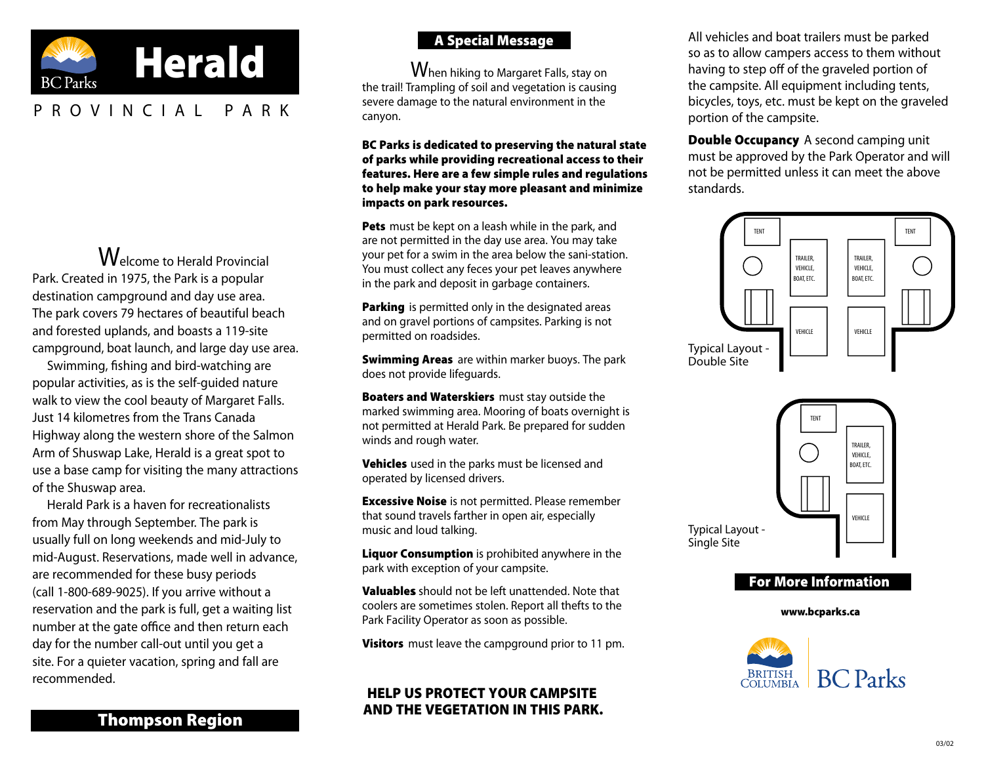

# PROVINCIAL P A R K

Welcome to Herald Provincial Park. Created in 1975, the Park is a popular destination campground and day use area. The park covers 79 hectares of beautiful beach and forested uplands, and boasts a 119-site campground, boat launch, and large day use area.

Swimming, fishing and bird-watching are popular activities, as is the self-guided nature walk to view the cool beauty of Margaret Falls. Just 14 kilometres from the Trans Canada Highway along the western shore of the Salmon Arm of Shuswap Lake, Herald is a great spot to use a base camp for visiting the many attractions of the Shuswap area.

Herald Park is a haven for recreationalists from May through September. The park is usually full on long weekends and mid-July to mid-August. Reservations, made well in advance, are recommended for these busy periods (call 1-800-689-9025). If you arrive without a reservation and the park is full, get a waiting list number at the gate office and then return each day for the number call-out until you get a site. For a quieter vacation, spring and fall are recommended.

# A Special Message

When hiking to Margaret Falls, stay on the trail! Trampling of soil and vegetation is causing severe damage to the natural environment in the canyon.

BC Parks is dedicated to preserving the natural state of parks while providing recreational access to their features. Here are a few simple rules and regulations to help make your stay more pleasant and minimize impacts on park resources.

Pets must be kept on a leash while in the park, and are not permitted in the day use area. You may take your pet for a swim in the area below the sani-station. You must collect any feces your pet leaves anywhere in the park and deposit in garbage containers.

Parking is permitted only in the designated areas and on gravel portions of campsites. Parking is not permitted on roadsides.

**Swimming Areas** are within marker buoys. The park does not provide lifeguards.

**Boaters and Waterskiers** must stay outside the marked swimming area. Mooring of boats overnight is not permitted at Herald Park. Be prepared for sudden winds and rough water.

**Vehicles** used in the parks must be licensed and operated by licensed drivers.

**Excessive Noise** is not permitted. Please remember that sound travels farther in open air, especially music and loud talking.

Liquor Consumption is prohibited anywhere in the park with exception of your campsite.

**Valuables** should not be left unattended. Note that coolers are sometimes stolen. Report all thefts to the Park Facility Operator as soon as possible.

Visitors must leave the campground prior to 11 pm.

## HELP US PROTECT YOUR CAMPSITE AND THE VEGETATION IN THIS PARK.

All vehicles and boat trailers must be parked so as to allow campers access to them without having to step off of the graveled portion of the campsite. All equipment including tents, bicycles, toys, etc. must be kept on the graveled portion of the campsite.

**Double Occupancy** A second camping unit must be approved by the Park Operator and will not be permitted unless it can meet the above standards.







[www.bcparks.ca](http://www.bcparks.ca/)

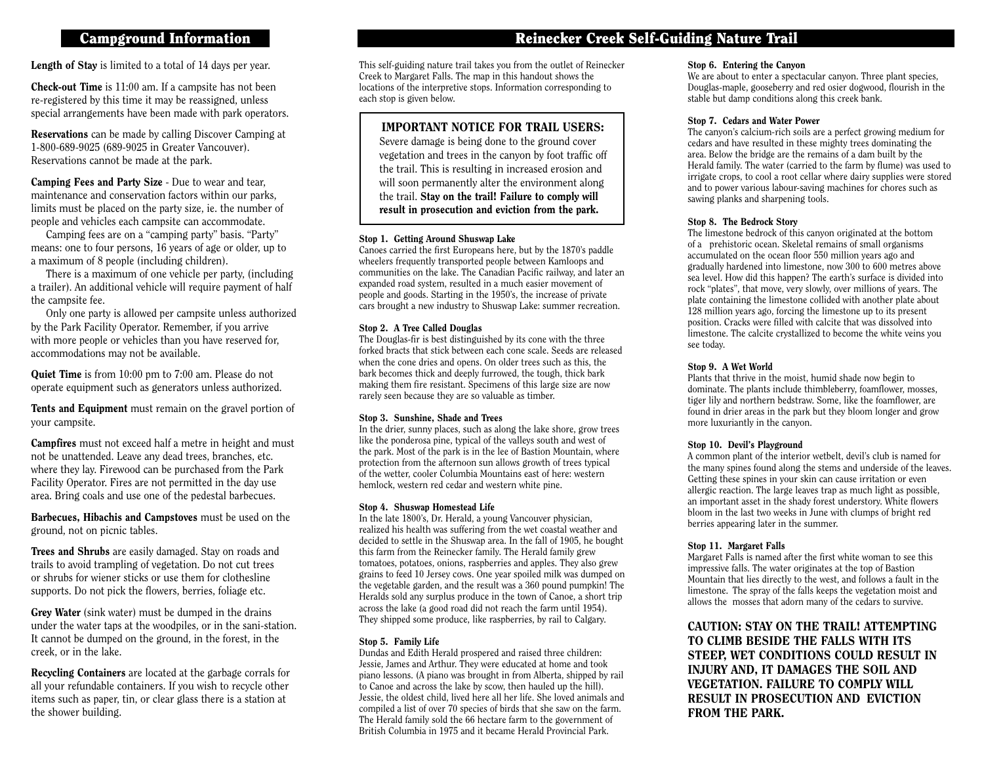## Campground Information

Length of Stay is limited to a total of 14 days per year.

Check-out Time is 11:00 am. If a campsite has not been re-registered by this time it may be reassigned, unless special arrangements have been made with park operators.

Reservations can be made by calling Discover Camping at 1-800-689-9025 (689-9025 in Greater Vancouver). Reservations cannot be made at the park.

Camping Fees and Party Size - Due to wear and tear, maintenance and conservation factors within our parks, limits must be placed on the party size, ie. the number of people and vehicles each campsite can accommodate.

Camping fees are on a "camping party" basis. "Party" means: one to four persons, 16 years of age or older, up to a maximum of 8 people (including children).

There is a maximum of one vehicle per party, (including a trailer). An additional vehicle will require payment of half the campsite fee.

Only one party is allowed per campsite unless authorized by the Park Facility Operator. Remember, if you arrive with more people or vehicles than you have reserved for, accommodations may not be available.

Quiet Time is from 10:00 pm to 7:00 am. Please do not operate equipment such as generators unless authorized.

Tents and Equipment must remain on the gravel portion of your campsite.

Campfires must not exceed half a metre in height and must not be unattended. Leave any dead trees, branches, etc. where they lay. Firewood can be purchased from the Park Facility Operator. Fires are not permitted in the day use area. Bring coals and use one of the pedestal barbecues.

Barbecues, Hibachis and Campstoves must be used on the ground, not on picnic tables.

Trees and Shrubs are easily damaged. Stay on roads and trails to avoid trampling of vegetation. Do not cut trees or shrubs for wiener sticks or use them for clothesline supports. Do not pick the flowers, berries, foliage etc.

Grey Water (sink water) must be dumped in the drains under the water taps at the woodpiles, or in the sani-station. It cannot be dumped on the ground, in the forest, in the creek, or in the lake.

Recycling Containers are located at the garbage corrals for all your refundable containers. If you wish to recycle other items such as paper, tin, or clear glass there is a station at the shower building.

# Reinecker Creek Self-Guiding Nature Trail

This self-guiding nature trail takes you from the outlet of Reinecker Creek to Margaret Falls. The map in this handout shows the locations of the interpretive stops. Information corresponding to each stop is given below.

### IMPORTANT NOTICE FOR TRAIL USERS:

Severe damage is being done to the ground cover vegetation and trees in the canyon by foot traffic off the trail. This is resulting in increased erosion and will soon permanently alter the environment along the trail. Stay on the trail! Failure to comply will result in prosecution and eviction from the park.

#### Stop 1. Getting Around Shuswap Lake

Canoes carried the first Europeans here, but by the 1870's paddle wheelers frequently transported people between Kamloops and communities on the lake. The Canadian Pacific railway, and later an expanded road system, resulted in a much easier movement of people and goods. Starting in the 1950's, the increase of private cars brought a new industry to Shuswap Lake: summer recreation.

#### Stop 2. A Tree Called Douglas

The Douglas-fir is best distinguished by its cone with the three forked bracts that stick between each cone scale. Seeds are released when the cone dries and opens. On older trees such as this, the bark becomes thick and deeply furrowed, the tough, thick bark making them fire resistant. Specimens of this large size are now rarely seen because they are so valuable as timber.

#### Stop 3. Sunshine, Shade and Trees

In the drier, sunny places, such as along the lake shore, grow trees like the ponderosa pine, typical of the valleys south and west of the park. Most of the park is in the lee of Bastion Mountain, where protection from the afternoon sun allows growth of trees typical of the wetter, cooler Columbia Mountains east of here: western hemlock, western red cedar and western white pine.

#### Stop 4. Shuswap Homestead Life

In the late 1800's, Dr. Herald, a young Vancouver physician, realized his health was suffering from the wet coastal weather and decided to settle in the Shuswap area. In the fall of 1905, he bought this farm from the Reinecker family. The Herald family grew tomatoes, potatoes, onions, raspberries and apples. They also grew grains to feed 10 Jersey cows. One year spoiled milk was dumped on the vegetable garden, and the result was a 360 pound pumpkin! The Heralds sold any surplus produce in the town of Canoe, a short trip across the lake (a good road did not reach the farm until 1954). They shipped some produce, like raspberries, by rail to Calgary.

#### Stop 5. Family Life

Dundas and Edith Herald prospered and raised three children: Jessie, James and Arthur. They were educated at home and took piano lessons. (A piano was brought in from Alberta, shipped by rail to Canoe and across the lake by scow, then hauled up the hill). Jessie, the oldest child, lived here all her life. She loved animals and compiled a list of over 70 species of birds that she saw on the farm. The Herald family sold the 66 hectare farm to the government of British Columbia in 1975 and it became Herald Provincial Park.

#### Stop 6. Entering the Canyon

We are about to enter a spectacular canyon. Three plant species, Douglas-maple, gooseberry and red osier dogwood, flourish in the stable but damp conditions along this creek bank.

#### Stop 7. Cedars and Water Power

The canyon's calcium-rich soils are a perfect growing medium for cedars and have resulted in these mighty trees dominating the area. Below the bridge are the remains of a dam built by the Herald family. The water (carried to the farm by flume) was used to irrigate crops, to cool a root cellar where dairy supplies were stored and to power various labour-saving machines for chores such as sawing planks and sharpening tools.

#### Stop 8. The Bedrock Story

The limestone bedrock of this canyon originated at the bottom of a prehistoric ocean. Skeletal remains of small organisms accumulated on the ocean floor 550 million years ago and gradually hardened into limestone, now 300 to 600 metres above sea level. How did this happen? The earth's surface is divided into rock "plates", that move, very slowly, over millions of years. The plate containing the limestone collided with another plate about 128 million years ago, forcing the limestone up to its present position. Cracks were filled with calcite that was dissolved into limestone. The calcite crystallized to become the white veins you see today.

#### Stop 9. A Wet World

Plants that thrive in the moist, humid shade now begin to dominate. The plants include thimbleberry, foamflower, mosses, tiger lily and northern bedstraw. Some, like the foamflower, are found in drier areas in the park but they bloom longer and grow more luxuriantly in the canyon.

#### Stop 10. Devil's Playground

A common plant of the interior wetbelt, devil's club is named for the many spines found along the stems and underside of the leaves. Getting these spines in your skin can cause irritation or even allergic reaction. The large leaves trap as much light as possible, an important asset in the shady forest understory. White flowers bloom in the last two weeks in June with clumps of bright red berries appearing later in the summer.

#### Stop 11. Margaret Falls

Margaret Falls is named after the first white woman to see this impressive falls. The water originates at the top of Bastion Mountain that lies directly to the west, and follows a fault in the limestone. The spray of the falls keeps the vegetation moist and allows the mosses that adorn many of the cedars to survive.

CAUTION: STAY ON THE TRAIL! ATTEMPTING TO CLIMB BESIDE THE FALLS WITH ITS STEEP, WET CONDITIONS COULD RESULT IN INJURY AND, IT DAMAGES THE SOIL AND VEGETATION. FAILURE TO COMPLY WILL RESULT IN PROSECUTION AND EVICTION FROM THE PARK.